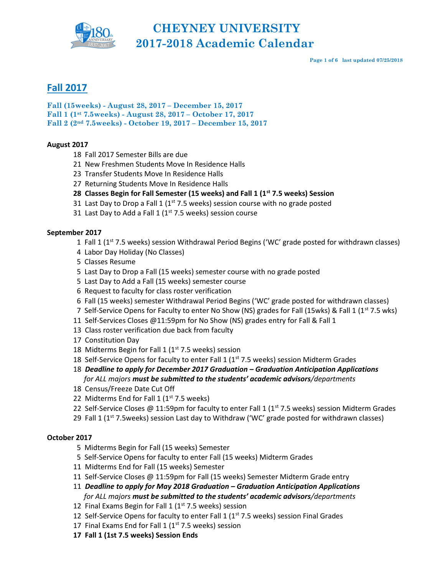

Page 1 of 6 last updated 07/25/2018

## Fall 2017

Fall (15weeks) - August 28, 2017 – December 15, 2017 Fall 1 (1st 7.5weeks) - August 28, 2017 – October 17, 2017 Fall 2 (2nd 7.5weeks) - October 19, 2017 – December 15, 2017

### August 2017

- 18 Fall 2017 Semester Bills are due
- 21 New Freshmen Students Move In Residence Halls
- 23 Transfer Students Move In Residence Halls
- 27 Returning Students Move In Residence Halls
- 28 Classes Begin for Fall Semester (15 weeks) and Fall 1 ( $1<sup>st</sup>$  7.5 weeks) Session
- 31 Last Day to Drop a Fall 1 ( $1<sup>st</sup>$  7.5 weeks) session course with no grade posted
- 31 Last Day to Add a Fall 1 ( $1<sup>st</sup>$  7.5 weeks) session course

### September 2017

- 1 Fall 1 ( $1<sup>st</sup>$  7.5 weeks) session Withdrawal Period Begins ('WC' grade posted for withdrawn classes)
- 4 Labor Day Holiday (No Classes)
- 5 Classes Resume
- 5 Last Day to Drop a Fall (15 weeks) semester course with no grade posted
- 5 Last Day to Add a Fall (15 weeks) semester course
- 6 Request to faculty for class roster verification
- 6 Fall (15 weeks) semester Withdrawal Period Begins ('WC' grade posted for withdrawn classes)
- 7 Self-Service Opens for Faculty to enter No Show (NS) grades for Fall (15wks) & Fall 1 (1<sup>st</sup> 7.5 wks)
- 11 Self-Services Closes @11:59pm for No Show (NS) grades entry for Fall & Fall 1
- 13 Class roster verification due back from faculty
- 17 Constitution Day
- 18 Midterms Begin for Fall 1 ( $1<sup>st</sup>$  7.5 weeks) session
- 18 Self-Service Opens for faculty to enter Fall 1 ( $1<sup>st</sup>$  7.5 weeks) session Midterm Grades
- 18 Deadline to apply for December 2017 Graduation Graduation Anticipation Applications for ALL majors must be submitted to the students' academic advisors/departments
- 18 Census/Freeze Date Cut Off
- 22 Midterms End for Fall 1 ( $1<sup>st</sup>$  7.5 weeks)
- 22 Self-Service Closes @ 11:59pm for faculty to enter Fall 1 ( $1<sup>st</sup>$  7.5 weeks) session Midterm Grades
- 29 Fall 1 ( $1<sup>st</sup>$  7.5weeks) session Last day to Withdraw ('WC' grade posted for withdrawn classes)

### October 2017

- 5 Midterms Begin for Fall (15 weeks) Semester
- 5 Self-Service Opens for faculty to enter Fall (15 weeks) Midterm Grades
- 11 Midterms End for Fall (15 weeks) Semester
- 11 Self-Service Closes @ 11:59pm for Fall (15 weeks) Semester Midterm Grade entry
- 11 Deadline to apply for May 2018 Graduation Graduation Anticipation Applications for ALL majors must be submitted to the students' academic advisors/departments
- 12 Final Exams Begin for Fall 1 ( $1<sup>st</sup>$  7.5 weeks) session
- 12 Self-Service Opens for faculty to enter Fall  $1 (1<sup>st</sup> 7.5 weeks)$  session Final Grades
- 17 Final Exams End for Fall 1 ( $1<sup>st</sup>$  7.5 weeks) session
- 17 Fall 1 (1st 7.5 weeks) Session Ends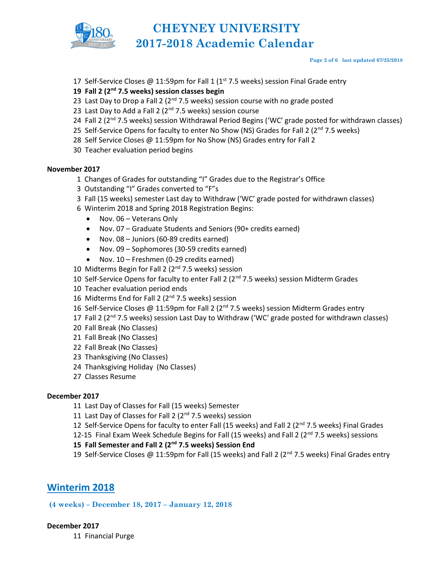

#### Page 2 of 6 last updated 07/25/2018

17 Self-Service Closes @ 11:59pm for Fall 1 ( $1<sup>st</sup>$  7.5 weeks) session Final Grade entry

#### 19 Fall 2 ( $2<sup>nd</sup>$  7.5 weeks) session classes begin

- 23 Last Day to Drop a Fall 2 ( $2<sup>nd</sup>$  7.5 weeks) session course with no grade posted
- 23 Last Day to Add a Fall 2 ( $2<sup>nd</sup>$  7.5 weeks) session course
- 24 Fall 2 (2<sup>nd</sup> 7.5 weeks) session Withdrawal Period Begins ('WC' grade posted for withdrawn classes)
- 25 Self-Service Opens for faculty to enter No Show (NS) Grades for Fall 2 ( $2^{nd}$  7.5 weeks)
- 28 Self Service Closes @ 11:59pm for No Show (NS) Grades entry for Fall 2
- 30 Teacher evaluation period begins

#### November 2017

- 1 Changes of Grades for outstanding "I" Grades due to the Registrar's Office
- 3 Outstanding "I" Grades converted to "F"s
- 3 Fall (15 weeks) semester Last day to Withdraw ('WC' grade posted for withdrawn classes)
- 6 Winterim 2018 and Spring 2018 Registration Begins:
	- Nov. 06 Veterans Only
	- Nov. 07 Graduate Students and Seniors (90+ credits earned)
	- Nov. 08 Juniors (60-89 credits earned)
	- Nov. 09 Sophomores (30-59 credits earned)
	- Nov. 10 Freshmen (0-29 credits earned)
- 10 Midterms Begin for Fall 2 ( $2<sup>nd</sup>$  7.5 weeks) session
- 10 Self-Service Opens for faculty to enter Fall 2 ( $2<sup>nd</sup>$  7.5 weeks) session Midterm Grades
- 10 Teacher evaluation period ends
- 16 Midterms End for Fall 2 ( $2<sup>nd</sup>$  7.5 weeks) session
- 16 Self-Service Closes @ 11:59pm for Fall 2 (2<sup>nd</sup> 7.5 weeks) session Midterm Grades entry
- 17 Fall 2 ( $2<sup>nd</sup>$  7.5 weeks) session Last Day to Withdraw ('WC' grade posted for withdrawn classes)
- 20 Fall Break (No Classes)
- 21 Fall Break (No Classes)
- 22 Fall Break (No Classes)
- 23 Thanksgiving (No Classes)
- 24 Thanksgiving Holiday (No Classes)
- 27 Classes Resume

#### December 2017

- 11 Last Day of Classes for Fall (15 weeks) Semester
- 11 Last Day of Classes for Fall 2 (2<sup>nd</sup> 7.5 weeks) session
- 12 Self-Service Opens for faculty to enter Fall (15 weeks) and Fall 2 (2<sup>nd</sup> 7.5 weeks) Final Grades
- 12-15 Final Exam Week Schedule Begins for Fall (15 weeks) and Fall 2 ( $2^{nd}$  7.5 weeks) sessions

### 15 Fall Semester and Fall 2 (2<sup>nd</sup> 7.5 weeks) Session End

19 Self-Service Closes @ 11:59pm for Fall (15 weeks) and Fall 2 ( $2<sup>nd</sup>$  7.5 weeks) Final Grades entry

## Winterim 2018

(4 weeks) – December 18, 2017 – January 12, 2018

December 2017

11 Financial Purge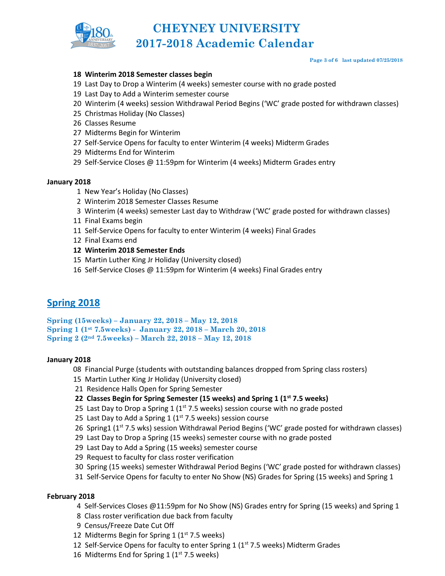

#### Page 3 of 6 last updated 07/25/2018

#### 18 Winterim 2018 Semester classes begin

- 19 Last Day to Drop a Winterim (4 weeks) semester course with no grade posted
- 19 Last Day to Add a Winterim semester course
- 20 Winterim (4 weeks) session Withdrawal Period Begins ('WC' grade posted for withdrawn classes)
- 25 Christmas Holiday (No Classes)
- 26 Classes Resume
- 27 Midterms Begin for Winterim
- 27 Self-Service Opens for faculty to enter Winterim (4 weeks) Midterm Grades
- 29 Midterms End for Winterim
- 29 Self-Service Closes @ 11:59pm for Winterim (4 weeks) Midterm Grades entry

#### January 2018

- 1 New Year's Holiday (No Classes)
- 2 Winterim 2018 Semester Classes Resume
- 3 Winterim (4 weeks) semester Last day to Withdraw ('WC' grade posted for withdrawn classes)
- 11 Final Exams begin
- 11 Self-Service Opens for faculty to enter Winterim (4 weeks) Final Grades
- 12 Final Exams end
- 12 Winterim 2018 Semester Ends
- 15 Martin Luther King Jr Holiday (University closed)
- 16 Self-Service Closes @ 11:59pm for Winterim (4 weeks) Final Grades entry

## Spring 2018

Spring (15weeks) – January 22, 2018 – May 12, 2018 Spring 1 (1st 7.5weeks) - January 22, 2018 – March 20, 2018 Spring 2 (2nd 7.5weeks) – March 22, 2018 – May 12, 2018

#### January 2018

- 08 Financial Purge (students with outstanding balances dropped from Spring class rosters)
- 15 Martin Luther King Jr Holiday (University closed)
- 21 Residence Halls Open for Spring Semester
- 22 Classes Begin for Spring Semester (15 weeks) and Spring 1 ( $1<sup>st</sup>$  7.5 weeks)
- 25 Last Day to Drop a Spring 1 ( $1<sup>st</sup>$  7.5 weeks) session course with no grade posted
- 25 Last Day to Add a Spring 1 ( $1<sup>st</sup>$  7.5 weeks) session course
- 26 Spring1 ( $1<sup>st</sup>$  7.5 wks) session Withdrawal Period Begins ('WC' grade posted for withdrawn classes)
- 29 Last Day to Drop a Spring (15 weeks) semester course with no grade posted
- 29 Last Day to Add a Spring (15 weeks) semester course
- 29 Request to faculty for class roster verification
- 30 Spring (15 weeks) semester Withdrawal Period Begins ('WC' grade posted for withdrawn classes)
- 31 Self-Service Opens for faculty to enter No Show (NS) Grades for Spring (15 weeks) and Spring 1

#### February 2018

- 4 Self-Services Closes @11:59pm for No Show (NS) Grades entry for Spring (15 weeks) and Spring 1
- 8 Class roster verification due back from faculty
- 9 Census/Freeze Date Cut Off
- 12 Midterms Begin for Spring 1 ( $1<sup>st</sup>$  7.5 weeks)
- 12 Self-Service Opens for faculty to enter Spring 1  $(1^{st} 7.5$  weeks) Midterm Grades
- 16 Midterms End for Spring 1 (1<sup>st</sup> 7.5 weeks)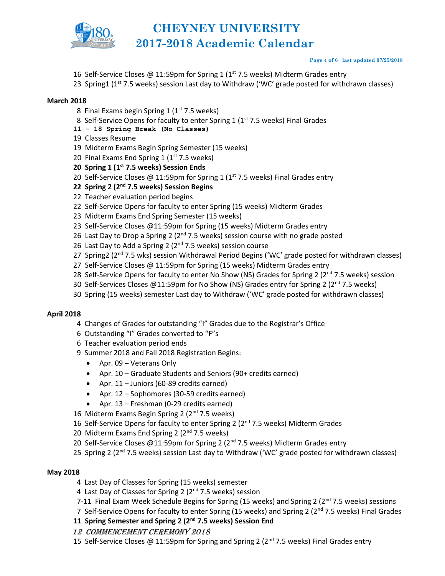

#### Page 4 of 6 last updated 07/25/2018

- 16 Self-Service Closes @ 11:59pm for Spring 1 ( $1<sup>st</sup>$  7.5 weeks) Midterm Grades entry
- 23 Spring1 (1<sup>st</sup> 7.5 weeks) session Last day to Withdraw ('WC' grade posted for withdrawn classes)

#### March 2018

- 8 Final Exams begin Spring 1 (1<sup>st</sup> 7.5 weeks)
- 8 Self-Service Opens for faculty to enter Spring 1 (1st 7.5 weeks) Final Grades
- 11 18 Spring Break (No Classes)
- 19 Classes Resume
- 19 Midterm Exams Begin Spring Semester (15 weeks)
- 20 Final Exams End Spring 1 ( $1<sup>st</sup>$  7.5 weeks)
- 20 Spring 1 (1<sup>st</sup> 7.5 weeks) Session Ends
- 20 Self-Service Closes @ 11:59pm for Spring 1 (1<sup>st</sup> 7.5 weeks) Final Grades entry
- 22 Spring 2 ( $2<sup>nd</sup>$  7.5 weeks) Session Begins
- 22 Teacher evaluation period begins
- 22 Self-Service Opens for faculty to enter Spring (15 weeks) Midterm Grades
- 23 Midterm Exams End Spring Semester (15 weeks)
- 23 Self-Service Closes @11:59pm for Spring (15 weeks) Midterm Grades entry
- 26 Last Day to Drop a Spring 2 ( $2^{nd}$  7.5 weeks) session course with no grade posted
- 26 Last Day to Add a Spring 2 (2<sup>nd</sup> 7.5 weeks) session course
- 27 Spring2 (2<sup>nd</sup> 7.5 wks) session Withdrawal Period Begins ('WC' grade posted for withdrawn classes)
- 27 Self-Service Closes @ 11:59pm for Spring (15 weeks) Midterm Grades entry
- 28 Self-Service Opens for faculty to enter No Show (NS) Grades for Spring 2 (2<sup>nd</sup> 7.5 weeks) session
- 30 Self-Services Closes @11:59pm for No Show (NS) Grades entry for Spring 2 ( $2<sup>nd</sup>$  7.5 weeks)
- 30 Spring (15 weeks) semester Last day to Withdraw ('WC' grade posted for withdrawn classes)

#### April 2018

- 4 Changes of Grades for outstanding "I" Grades due to the Registrar's Office
- 6 Outstanding "I" Grades converted to "F"s
- 6 Teacher evaluation period ends
- 9 Summer 2018 and Fall 2018 Registration Begins:
	- Apr. 09 Veterans Only
	- Apr. 10 Graduate Students and Seniors (90+ credits earned)
	- Apr. 11 Juniors (60-89 credits earned)
	- Apr. 12 Sophomores (30-59 credits earned)
	- Apr. 13 Freshman (0-29 credits earned)
- 16 Midterm Exams Begin Spring 2 (2<sup>nd</sup> 7.5 weeks)
- 16 Self-Service Opens for faculty to enter Spring 2 (2<sup>nd</sup> 7.5 weeks) Midterm Grades
- 20 Midterm Exams End Spring 2 (2nd 7.5 weeks)
- 20 Self-Service Closes @11:59pm for Spring 2 ( $2<sup>nd</sup>$  7.5 weeks) Midterm Grades entry
- 25 Spring 2 ( $2<sup>nd</sup>$  7.5 weeks) session Last day to Withdraw ('WC' grade posted for withdrawn classes)

#### May 2018

- 4 Last Day of Classes for Spring (15 weeks) semester
- 4 Last Day of Classes for Spring 2 (2<sup>nd</sup> 7.5 weeks) session
- 7-11 Final Exam Week Schedule Begins for Spring (15 weeks) and Spring 2  $(2^{nd} 7.5$  weeks) sessions
- 7 Self-Service Opens for faculty to enter Spring (15 weeks) and Spring 2 ( $2<sup>nd</sup>$  7.5 weeks) Final Grades

11 Spring Semester and Spring 2 (2<sup>nd</sup> 7.5 weeks) Session End

- 12 CommenCement Ceremony 2018
- 15 Self-Service Closes @ 11:59pm for Spring and Spring 2 ( $2<sup>nd</sup>$  7.5 weeks) Final Grades entry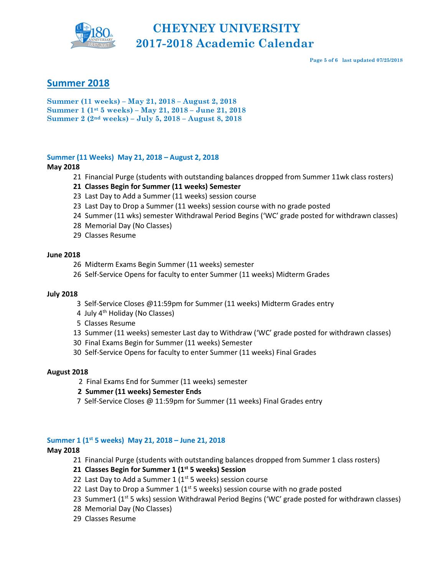

Page 5 of 6 last updated 07/25/2018

## Summer 2018

Summer (11 weeks) – May 21, 2018 – August 2, 2018 Summer 1 (1st 5 weeks) – May 21, 2018 – June 21, 2018 Summer 2 (2nd weeks) – July 5, 2018 – August 8, 2018

#### Summer (11 Weeks) May 21, 2018 – August 2, 2018

#### May 2018

- 21 Financial Purge (students with outstanding balances dropped from Summer 11wk class rosters)
- 21 Classes Begin for Summer (11 weeks) Semester
- 23 Last Day to Add a Summer (11 weeks) session course
- 23 Last Day to Drop a Summer (11 weeks) session course with no grade posted
- 24 Summer (11 wks) semester Withdrawal Period Begins ('WC' grade posted for withdrawn classes)
- 28 Memorial Day (No Classes)
- 29 Classes Resume

#### June 2018

- 26 Midterm Exams Begin Summer (11 weeks) semester
- 26 Self-Service Opens for faculty to enter Summer (11 weeks) Midterm Grades

#### July 2018

- 3 Self-Service Closes @11:59pm for Summer (11 weeks) Midterm Grades entry
- 4 July 4th Holiday (No Classes)
- 5 Classes Resume
- 13 Summer (11 weeks) semester Last day to Withdraw ('WC' grade posted for withdrawn classes)
- 30 Final Exams Begin for Summer (11 weeks) Semester
- 30 Self-Service Opens for faculty to enter Summer (11 weeks) Final Grades

#### August 2018

- 2 Final Exams End for Summer (11 weeks) semester
- 2 Summer (11 weeks) Semester Ends
- 7 Self-Service Closes @ 11:59pm for Summer (11 weeks) Final Grades entry

#### Summer 1 (1<sup>st</sup> 5 weeks) May 21, 2018 – June 21, 2018

#### May 2018

21 Financial Purge (students with outstanding balances dropped from Summer 1 class rosters)

#### 21 Classes Begin for Summer 1 ( $1<sup>st</sup>$  5 weeks) Session

- 22 Last Day to Add a Summer 1 ( $1<sup>st</sup>$  5 weeks) session course
- 22 Last Day to Drop a Summer 1 ( $1<sup>st</sup>$  5 weeks) session course with no grade posted
- 23 Summer1 (1<sup>st</sup> 5 wks) session Withdrawal Period Begins ('WC' grade posted for withdrawn classes)
- 28 Memorial Day (No Classes)
- 29 Classes Resume